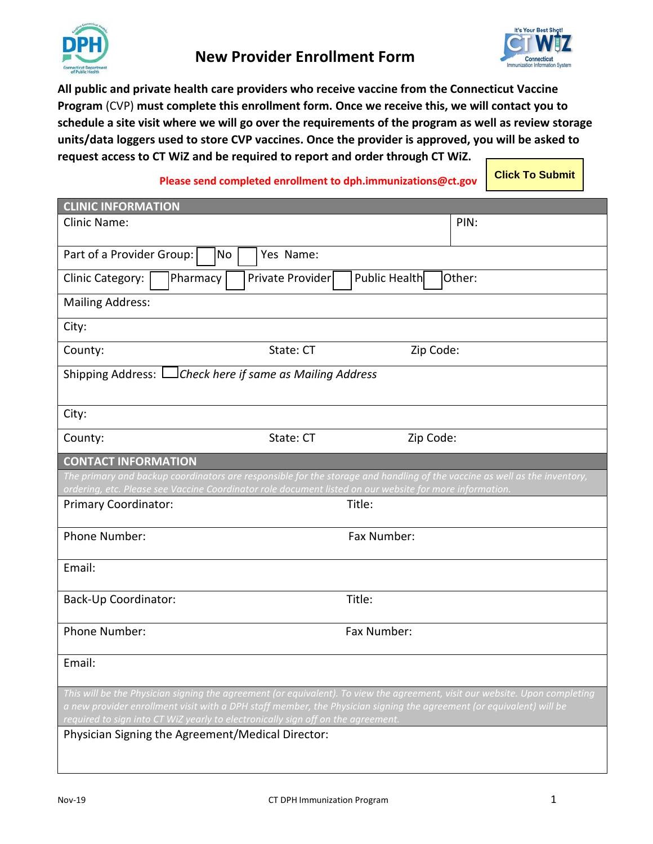



**All public and private health care providers who receive vaccine from the Connecticut Vaccine Program** (CVP) **must complete this enrollment form. Once we receive this, we will contact you to schedule a site visit where we will go over the requirements of the program as well as review storage units/data loggers used to store CVP vaccines. Once the provider is approved, you will be asked to request access to CT WiZ and be required to report and order through CT WiZ.** 

## **Please send completed enrollment to dph.immunizations@ct.gov**

**Click To Submit**

| <b>CLINIC INFORMATION</b>                                                                                                                                                                                                                           |                  |               |         |  |  |  |  |
|-----------------------------------------------------------------------------------------------------------------------------------------------------------------------------------------------------------------------------------------------------|------------------|---------------|---------|--|--|--|--|
| Clinic Name:                                                                                                                                                                                                                                        |                  |               | PIN:    |  |  |  |  |
| Part of a Provider Group:<br>No                                                                                                                                                                                                                     | Yes Name:        |               |         |  |  |  |  |
| Pharmacy<br>Clinic Category:                                                                                                                                                                                                                        | Private Provider | Public Health | lOther: |  |  |  |  |
| <b>Mailing Address:</b>                                                                                                                                                                                                                             |                  |               |         |  |  |  |  |
| City:                                                                                                                                                                                                                                               |                  |               |         |  |  |  |  |
| County:                                                                                                                                                                                                                                             | State: CT        | Zip Code:     |         |  |  |  |  |
| Shipping Address: Lack here if same as Mailing Address                                                                                                                                                                                              |                  |               |         |  |  |  |  |
| City:                                                                                                                                                                                                                                               |                  |               |         |  |  |  |  |
| County:                                                                                                                                                                                                                                             | State: CT        | Zip Code:     |         |  |  |  |  |
| <b>CONTACT INFORMATION</b>                                                                                                                                                                                                                          |                  |               |         |  |  |  |  |
| The primary and backup coordinators are responsible for the storage and handling of the vaccine as well as the inventory,<br>ordering, etc. Please see Vaccine Coordinator role document listed on our website for more information.                |                  |               |         |  |  |  |  |
| Primary Coordinator:                                                                                                                                                                                                                                |                  | Title:        |         |  |  |  |  |
| Phone Number:                                                                                                                                                                                                                                       |                  | Fax Number:   |         |  |  |  |  |
| Email:                                                                                                                                                                                                                                              |                  |               |         |  |  |  |  |
| <b>Back-Up Coordinator:</b>                                                                                                                                                                                                                         |                  | Title:        |         |  |  |  |  |
| Phone Number:                                                                                                                                                                                                                                       |                  | Fax Number:   |         |  |  |  |  |
| Email:                                                                                                                                                                                                                                              |                  |               |         |  |  |  |  |
| This will be the Physician signing the agreement (or equivalent). To view the agreement, visit our website. Upon completing<br>a new provider enrollment visit with a DPH staff member, the Physician signing the agreement (or equivalent) will be |                  |               |         |  |  |  |  |
| required to sign into CT WiZ yearly to electronically sign off on the agreement.                                                                                                                                                                    |                  |               |         |  |  |  |  |
| Physician Signing the Agreement/Medical Director:                                                                                                                                                                                                   |                  |               |         |  |  |  |  |
|                                                                                                                                                                                                                                                     |                  |               |         |  |  |  |  |